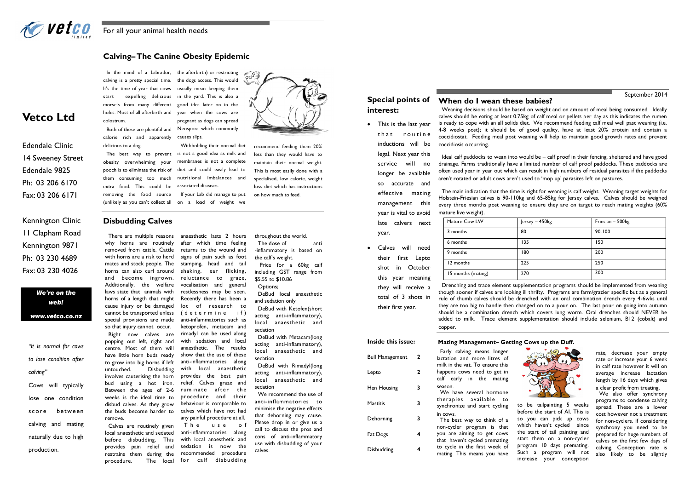

**Vetco Ltd**

the dogs access. This would usually mean keeping them in the yard. This is also a good idea later on in the year when the cows are pregnant as dogs can spread

causes slips.

Withholding their normal diet

In the mind of a Labrador, the afterbirth) or restricting calving is a pretty special time. It's the time of year that cows start expelling delicious morsels from many different holes. Most of all afterbirth and colostrum.

> membranes is not a complete diet and could easily lead to

The best way to prevent is not a good idea as milk and obesity overwhelming your pooch is to eliminate the risk of them consuming too much extra food. This could be removing the food source (unlikely as you can't collect all

Neospora which commonly Both of these are plentiful and calorie rich and apparently delicious to a dog.

> nutritional imbalances and associated diseases. If your Lab did manage to put on a load of weight we specialised, low calorie, weight loss diet which has instructions on how much to feed.

recommend feeding them 20% less than they would have to maintain their normal weight. This is most easily done with a

## **Calving–The Canine Obesity Epidemic**

*We're on the web!*

*www.vetco.co.nz*

*"It is normal for cows* 

*to lose condition after* 

*calving"*

Cows will typically

lose one condition

score between

calving and mating

naturally due to high

production.

Edendale Clinic

14 Sweeney Street

Edendale 9825

Ph: 03 206 6170

Fax: 03 206 6171

Kennington Clinic

11 Clapham Road

Kennington 9871

Ph: 03 230 4689

Fax: 03 230 4026

## **Disbudding Calves**

sedation is now the recommended procedure for calf disbudding

There are multiple reasons why horns are routinely removed from cattle. Cattle with horns are a risk to herd mates and stock people. The horns can also curl around and become ingrown. Additionally, the welfare laws state that animals with horns of a length that might cause injury or be damaged cannot be transported unless special provisions are made so that injury cannot occur. Right now calves are popping out left, right and centre. Most of them will have little horn buds ready to grow into big horns if left untouched. Disbudding involves cauterising the horn bud using a hot iron. Between the ages of 2-6 weeks is the ideal time to disbud calves. As they grow the buds become harder to remove.

Calves are routinely given local anaesthetic and sedated before disbudding. This provides pain relief and restrains them during the procedure. The local

We also offer synchrony programs to condense calving spread. These are a lower cost however not a treatment for non-cyclers. If considering synchrony you need to be prepared for huge numbers of calves on the first few days of calving. Conception rate is also likely to be slightly

anaesthetic lasts 2 hours after which time feeling returns to the wound and signs of pain such as foot stamping, head and tail shaking, ear flicking, reluctance to graze, vocalisation and general restlessness may be seen. Recently there has been a lot of research to ( determine if) anti-inflammatories such as ketoprofen, metacam and rimadyl can be used along with sedation and local anaesthetic. The results show that the use of these anti-inflammatories along with local anaesthetic provides the best pain relief. Calves graze and ruminate after the procedure and their behaviour is comparable to calves which have not had any painful procedure at all. T h e u s e o f anti-inflammatories along with local anaesthetic and

throughout the world. The dose of anti -inflammatory is based on the calf's weight.

Price for a 60kg calf including GST range from \$5.55 to \$10.86 Options;

DeBud local anaesthetic and sedation only DeBud with Ketofen(short acting anti-inflammatory),

## local anaesthetic and

sedation DeBud with Metacam(long acting anti-inflammatory), local anaesthetic and sedation

DeBud with Rimadyl(long acting anti-inflammatory), local anaesthetic and sedation

We recommend the use of anti-inflammatories to minimise the negative effects that dehorning may cause. Please drop in or give us a call to discuss the pros and cons of anti-inflammatory use with disbudding of your calves.

## **Mating Management– Getting Cows up the Duff.**

Early calving means longer lactation and more litres of milk in the vat. To ensure this happens cows need to get in calf early in the mating season. We have several hormone therapies available to

non-cycler program is that you are aiming to get cows that haven't cycled premating to cycle in the first week of mating. This means you have

synchronize and start cycling in cows. The best way to think of a to be tailpainting 5 weeks before the start of AI. This is so you can pick up cows which haven't cycled since the start of tail painting and start them on a non-cycler program 10 days premating. Such a program will not increase your conception

rate, decrease your empty rate or increase your 6 week in calf rate however it will on average increase lactation length by 16 days which gives a clear profit from treating.

September 2014



## **Special points of interest:**

 This is the last year that routine inductions will be legal. Next year this service will no longer be available so accurate and effective mating management this year is vital to avoid late calvers next year.

# Calves will need

their first Lepto shot in October this year meaning they will receive a total of 3 shots in their first year.

## **Inside this issue:**

| <b>Bull Management</b> | 2 |
|------------------------|---|
| Lepto                  | 2 |
| Hen Housing            | 3 |
| <b>Mastitis</b>        | 3 |
| Dehorning              | 3 |
| Fat Dogs               | 4 |
| Disbudding             |   |

Weaning decisions should be based on weight and on amount of meal being consumed. Ideally calves should be eating at least 0.75kg of calf meal or pellets per day as this indicates the rumen is ready to cope with an all solids diet. We recommend feeding calf meal well past weaning (i.e. 4-8 weeks post); it should be of good quality, have at least 20% protein and contain a coccidiostat. Feeding meal post weaning will help to maintain good growth rates and prevent coccidiosis occurring.

Ideal calf paddocks to wean into would be – calf proof in their fencing, sheltered and have good drainage. Farms traditionally have a limited number of calf proof paddocks. These paddocks are often used year in year out which can result in high numbers of residual parasites if the paddocks aren't rotated or adult cows aren't used to 'mop up' parasites left on pastures.

The main indication that the time is right for weaning is calf weight. Weaning target weights for Holstein-Friesian calves is 90-110kg and 65-85kg for Jersey calves. Calves should be weighed every three months post weaning to ensure they are on target to reach mating weights (60% mature live weight).

Drenching and trace element supplementation programs should be implemented from weaning though sooner if calves are looking ill thrifty. Programs are farm/grazier specific but as a general rule of thumb calves should be drenched with an oral combination drench every 4-6wks until they are too big to handle then changed on to a pour on. The last pour on going into autumn should be a combination drench which covers lung worm. Oral drenches should NEVER be added to milk. Trace element supplementation should include selenium, B12 (cobalt) and copper.

| Mature Cow LW      | Jersey - 450kg | Friesian - 500kg |
|--------------------|----------------|------------------|
| 3 months           | 80             | $90 - 100$       |
| 6 months           | 135            | 150              |
| 9 months           | 180            | 200              |
| 12 months          | 225            | 250              |
| 15 months (mating) | 270            | 300              |

## **When do I wean these babies?**